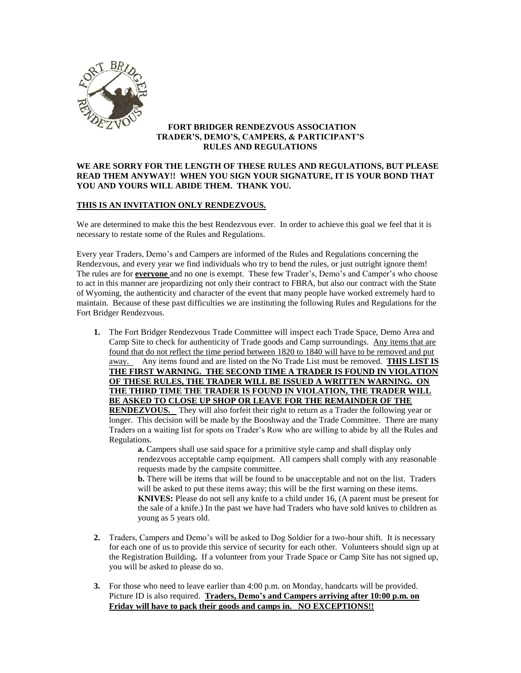

## **FORT BRIDGER RENDEZVOUS ASSOCIATION TRADER'S, DEMO'S, CAMPERS, & PARTICIPANT'S RULES AND REGULATIONS**

## **WE ARE SORRY FOR THE LENGTH OF THESE RULES AND REGULATIONS, BUT PLEASE READ THEM ANYWAY!! WHEN YOU SIGN YOUR SIGNATURE, IT IS YOUR BOND THAT YOU AND YOURS WILL ABIDE THEM. THANK YOU.**

# **THIS IS AN INVITATION ONLY RENDEZVOUS.**

We are determined to make this the best Rendezvous ever. In order to achieve this goal we feel that it is necessary to restate some of the Rules and Regulations.

Every year Traders, Demo's and Campers are informed of the Rules and Regulations concerning the Rendezvous, and every year we find individuals who try to bend the rules, or just outright ignore them! The rules are for **everyone** and no one is exempt. These few Trader's, Demo's and Camper's who choose to act in this manner are jeopardizing not only their contract to FBRA, but also our contract with the State of Wyoming, the authenticity and character of the event that many people have worked extremely hard to maintain. Because of these past difficulties we are instituting the following Rules and Regulations for the Fort Bridger Rendezvous.

**1.** The Fort Bridger Rendezvous Trade Committee will inspect each Trade Space, Demo Area and Camp Site to check for authenticity of Trade goods and Camp surroundings. Any items that are found that do not reflect the time period between 1820 to 1840 will have to be removed and put away. Any items found and are listed on the No Trade List must be removed. **THIS LIST IS THE FIRST WARNING. THE SECOND TIME A TRADER IS FOUND IN VIOLATION OF THESE RULES, THE TRADER WILL BE ISSUED A WRITTEN WARNING. ON THE THIRD TIME THE TRADER IS FOUND IN VIOLATION, THE TRADER WILL BE ASKED TO CLOSE UP SHOP OR LEAVE FOR THE REMAINDER OF THE** 

**RENDEZVOUS.** They will also forfeit their right to return as a Trader the following year or longer. This decision will be made by the Booshway and the Trade Committee. There are many Traders on a waiting list for spots on Trader's Row who are willing to abide by all the Rules and Regulations.

**a.** Campers shall use said space for a primitive style camp and shall display only rendezvous acceptable camp equipment. All campers shall comply with any reasonable requests made by the campsite committee.

**b.** There will be items that will be found to be unacceptable and not on the list. Traders will be asked to put these items away; this will be the first warning on these items. **KNIVES:** Please do not sell any knife to a child under 16, (A parent must be present for the sale of a knife.) In the past we have had Traders who have sold knives to children as young as 5 years old.

- **2.** Traders, Campers and Demo's will be asked to Dog Soldier for a two-hour shift. It is necessary for each one of us to provide this service of security for each other.Volunteers should sign up at the Registration Building**.** If a volunteer from your Trade Space or Camp Site has not signed up, you will be asked to please do so.
- **3.** For those who need to leave earlier than 4:00 p.m. on Monday, handcarts will be provided. Picture ID is also required. **Traders, Demo's and Campers arriving after 10:00 p.m. on Friday will have to pack their goods and camps in. NO EXCEPTIONS!!**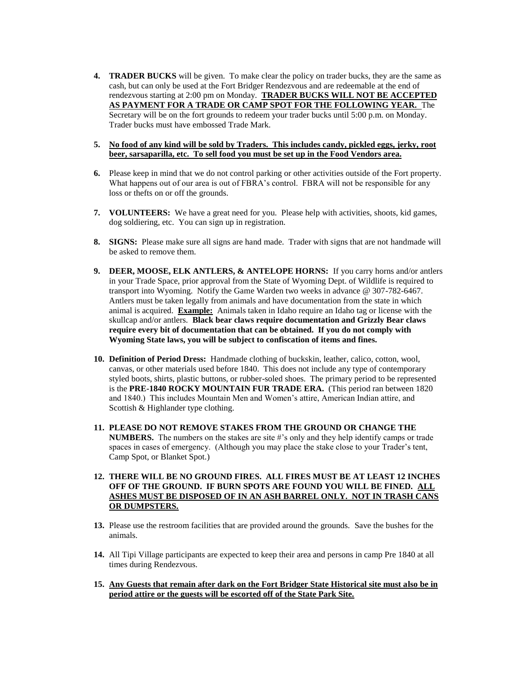- **4. TRADER BUCKS** will be given. To make clear the policy on trader bucks, they are the same as cash, but can only be used at the Fort Bridger Rendezvous and are redeemable at the end of rendezvous starting at 2:00 pm on Monday. **TRADER BUCKS WILL NOT BE ACCEPTED AS PAYMENT FOR A TRADE OR CAMP SPOT FOR THE FOLLOWING YEAR.** The Secretary will be on the fort grounds to redeem your trader bucks until 5:00 p.m. on Monday. Trader bucks must have embossed Trade Mark.
- **5. No food of any kind will be sold by Traders. This includes candy, pickled eggs, jerky, root beer, sarsaparilla, etc. To sell food you must be set up in the Food Vendors area.**
- **6.** Please keep in mind that we do not control parking or other activities outside of the Fort property. What happens out of our area is out of FBRA's control. FBRA will not be responsible for any loss or thefts on or off the grounds.
- **7. VOLUNTEERS:** We have a great need for you. Please help with activities, shoots, kid games, dog soldiering, etc. You can sign up in registration.
- **8. SIGNS:** Please make sure all signs are hand made. Trader with signs that are not handmade will be asked to remove them.
- **9. DEER, MOOSE, ELK ANTLERS, & ANTELOPE HORNS:** If you carry horns and/or antlers in your Trade Space, prior approval from the State of Wyoming Dept. of Wildlife is required to transport into Wyoming. Notify the Game Warden two weeks in advance @ 307-782-6467. Antlers must be taken legally from animals and have documentation from the state in which animal is acquired. **Example:** Animals taken in Idaho require an Idaho tag or license with the skullcap and/or antlers. **Black bear claws require documentation and Grizzly Bear claws require every bit of documentation that can be obtained. If you do not comply with Wyoming State laws, you will be subject to confiscation of items and fines.**
- **10. Definition of Period Dress:** Handmade clothing of buckskin, leather, calico, cotton, wool, canvas, or other materials used before 1840. This does not include any type of contemporary styled boots, shirts, plastic buttons, or rubber-soled shoes. The primary period to be represented is the **PRE-1840 ROCKY MOUNTAIN FUR TRADE ERA.** (This period ran between 1820 and 1840.) This includes Mountain Men and Women's attire, American Indian attire, and Scottish & Highlander type clothing.
- **11. PLEASE DO NOT REMOVE STAKES FROM THE GROUND OR CHANGE THE NUMBERS.** The numbers on the stakes are site #'s only and they help identify camps or trade spaces in cases of emergency. (Although you may place the stake close to your Trader's tent, Camp Spot, or Blanket Spot.)
- **12. THERE WILL BE NO GROUND FIRES. ALL FIRES MUST BE AT LEAST 12 INCHES OFF OF THE GROUND. IF BURN SPOTS ARE FOUND YOU WILL BE FINED. ALL ASHES MUST BE DISPOSED OF IN AN ASH BARREL ONLY. NOT IN TRASH CANS OR DUMPSTERS.**
- **13.** Please use the restroom facilities that are provided around the grounds. Save the bushes for the animals.
- **14.** All Tipi Village participants are expected to keep their area and persons in camp Pre 1840 at all times during Rendezvous.
- **15. Any Guests that remain after dark on the Fort Bridger State Historical site must also be in period attire or the guests will be escorted off of the State Park Site.**